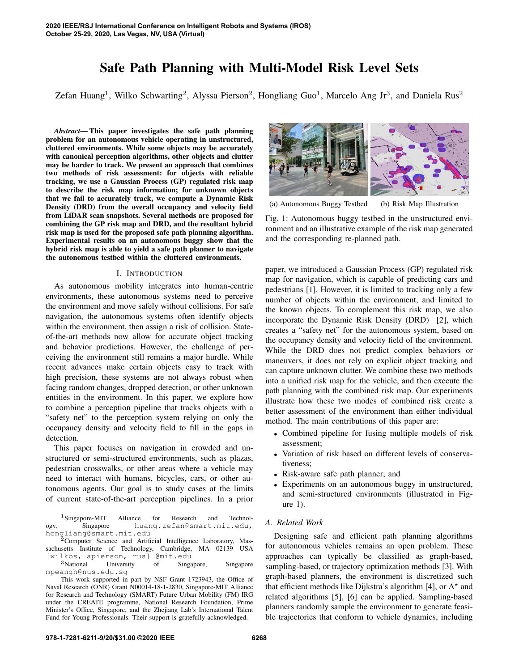# Safe Path Planning with Multi-Model Risk Level Sets

Zefan Huang<sup>1</sup>, Wilko Schwarting<sup>2</sup>, Alyssa Pierson<sup>2</sup>, Hongliang Guo<sup>1</sup>, Marcelo Ang Jr<sup>3</sup>, and Daniela Rus<sup>2</sup>

*Abstract*— This paper investigates the safe path planning problem for an autonomous vehicle operating in unstructured, cluttered environments. While some objects may be accurately with canonical perception algorithms, other objects and clutter may be harder to track. We present an approach that combines two methods of risk assessment: for objects with reliable tracking, we use a Gaussian Process (GP) regulated risk map to describe the risk map information; for unknown objects that we fail to accurately track, we compute a Dynamic Risk Density (DRD) from the overall occupancy and velocity field from LiDAR scan snapshots. Several methods are proposed for combining the GP risk map and DRD, and the resultant hybrid risk map is used for the proposed safe path planning algorithm. Experimental results on an autonomous buggy show that the hybrid risk map is able to yield a safe path planner to navigate the autonomous testbed within the cluttered environments.

#### I. INTRODUCTION

As autonomous mobility integrates into human-centric environments, these autonomous systems need to perceive the environment and move safely without collisions. For safe navigation, the autonomous systems often identify objects within the environment, then assign a risk of collision. Stateof-the-art methods now allow for accurate object tracking and behavior predictions. However, the challenge of perceiving the environment still remains a major hurdle. While recent advances make certain objects easy to track with high precision, these systems are not always robust when facing random changes, dropped detection, or other unknown entities in the environment. In this paper, we explore how to combine a perception pipeline that tracks objects with a "safety net" to the perception system relying on only the occupancy density and velocity field to fill in the gaps in detection.

This paper focuses on navigation in crowded and unstructured or semi-structured environments, such as plazas, pedestrian crosswalks, or other areas where a vehicle may need to interact with humans, bicycles, cars, or other autonomous agents. Our goal is to study cases at the limits of current state-of-the-art perception pipelines. In a prior

<sup>1</sup>Singapore-MIT Alliance for Research and Technol-<br>Singapore huang.zefan@smart.mit.edu, ogy, Singapore huang.zefan@smart.mit.edu, hongliang@smart.mit.edu

<sup>2</sup>Computer Science and Artificial Intelligence Laboratory, Massachusetts Institute of Technology, Cambridge, MA 02139 USA [wilkos, apierson, rus] @mit.edu

<sup>3</sup>National University of Singapore, Singapore mpeangh@nus.edu.sg

This work supported in part by NSF Grant 1723943, the Office of Naval Research (ONR) Grant N00014-18-1-2830, Singapore-MIT Alliance for Research and Technology (SMART) Future Urban Mobility (FM) IRG under the CREATE programme, National Research Foundation, Prime Minister's Office, Singapore, and the Zhejiang Lab's International Talent Fund for Young Professionals. Their support is gratefully acknowledged.



(a) Autonomous Buggy Testbed (b) Risk Map Illustration

Fig. 1: Autonomous buggy testbed in the unstructured environment and an illustrative example of the risk map generated and the corresponding re-planned path.

paper, we introduced a Gaussian Process (GP) regulated risk map for navigation, which is capable of predicting cars and pedestrians [1]. However, it is limited to tracking only a few number of objects within the environment, and limited to the known objects. To complement this risk map, we also incorporate the Dynamic Risk Density (DRD) [2], which creates a "safety net" for the autonomous system, based on the occupancy density and velocity field of the environment. While the DRD does not predict complex behaviors or maneuvers, it does not rely on explicit object tracking and can capture unknown clutter. We combine these two methods into a unified risk map for the vehicle, and then execute the path planning with the combined risk map. Our experiments illustrate how these two modes of combined risk create a better assessment of the environment than either individual method. The main contributions of this paper are:

- Combined pipeline for fusing multiple models of risk assessment;
- Variation of risk based on different levels of conservativeness;
- Risk-aware safe path planner; and
- Experiments on an autonomous buggy in unstructured, and semi-structured environments (illustrated in Figure 1).

# *A. Related Work*

Designing safe and efficient path planning algorithms for autonomous vehicles remains an open problem. These approaches can typically be classified as graph-based, sampling-based, or trajectory optimization methods [3]. With graph-based planners, the environment is discretized such that efficient methods like Dijkstra's algorithm [4], or  $A^*$  and related algorithms [5], [6] can be applied. Sampling-based planners randomly sample the environment to generate feasible trajectories that conform to vehicle dynamics, including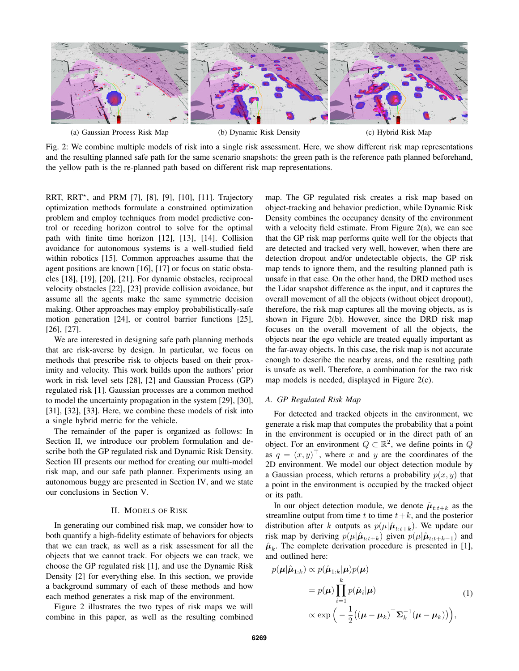

(a) Gaussian Process Risk Map (b) Dynamic Risk Density (c) Hybrid Risk Map

Fig. 2: We combine multiple models of risk into a single risk assessment. Here, we show different risk map representations and the resulting planned safe path for the same scenario snapshots: the green path is the reference path planned beforehand, the yellow path is the re-planned path based on different risk map representations.

RRT, RRT? , and PRM [7], [8], [9], [10], [11]. Trajectory optimization methods formulate a constrained optimization problem and employ techniques from model predictive control or receding horizon control to solve for the optimal path with finite time horizon [12], [13], [14]. Collision avoidance for autonomous systems is a well-studied field within robotics [15]. Common approaches assume that the agent positions are known [16], [17] or focus on static obstacles [18], [19], [20], [21]. For dynamic obstacles, reciprocal velocity obstacles [22], [23] provide collision avoidance, but assume all the agents make the same symmetric decision making. Other approaches may employ probabilistically-safe motion generation [24], or control barrier functions [25], [26], [27].

We are interested in designing safe path planning methods that are risk-averse by design. In particular, we focus on methods that prescribe risk to objects based on their proximity and velocity. This work builds upon the authors' prior work in risk level sets [28], [2] and Gaussian Process (GP) regulated risk [1]. Gaussian processes are a common method to model the uncertainty propagation in the system [29], [30], [31], [32], [33]. Here, we combine these models of risk into a single hybrid metric for the vehicle.

The remainder of the paper is organized as follows: In Section II, we introduce our problem formulation and describe both the GP regulated risk and Dynamic Risk Density. Section III presents our method for creating our multi-model risk map, and our safe path planner. Experiments using an autonomous buggy are presented in Section IV, and we state our conclusions in Section V.

# II. MODELS OF RISK

In generating our combined risk map, we consider how to both quantify a high-fidelity estimate of behaviors for objects that we can track, as well as a risk assessment for all the objects that we cannot track. For objects we can track, we choose the GP regulated risk [1], and use the Dynamic Risk Density [2] for everything else. In this section, we provide a background summary of each of these methods and how each method generates a risk map of the environment.

Figure 2 illustrates the two types of risk maps we will combine in this paper, as well as the resulting combined map. The GP regulated risk creates a risk map based on object-tracking and behavior prediction, while Dynamic Risk Density combines the occupancy density of the environment with a velocity field estimate. From Figure 2(a), we can see that the GP risk map performs quite well for the objects that are detected and tracked very well, however, when there are detection dropout and/or undetectable objects, the GP risk map tends to ignore them, and the resulting planned path is unsafe in that case. On the other hand, the DRD method uses the Lidar snapshot difference as the input, and it captures the overall movement of all the objects (without object dropout), therefore, the risk map captures all the moving objects, as is shown in Figure 2(b). However, since the DRD risk map focuses on the overall movement of all the objects, the objects near the ego vehicle are treated equally important as the far-away objects. In this case, the risk map is not accurate enough to describe the nearby areas, and the resulting path is unsafe as well. Therefore, a combination for the two risk map models is needed, displayed in Figure 2(c).

# *A. GP Regulated Risk Map*

For detected and tracked objects in the environment, we generate a risk map that computes the probability that a point in the environment is occupied or in the direct path of an object. For an environment  $Q \subset \mathbb{R}^2$ , we define points in Q as  $q = (x, y)^{\top}$ , where x and y are the coordinates of the 2D environment. We model our object detection module by a Gaussian process, which returns a probability  $p(x, y)$  that a point in the environment is occupied by the tracked object or its path.

In our object detection module, we denote  $\hat{\mu}_{t:t+k}$  as the streamline output from time t to time  $t+k$ , and the posterior distribution after k outputs as  $p(\mu|\hat{\boldsymbol{\mu}}_{t:t+k})$ . We update our risk map by deriving  $p(\mu|\hat{\boldsymbol{\mu}}_{t:t+k})$  given  $p(\mu|\hat{\boldsymbol{\mu}}_{t:t+k-1})$  and  $\hat{\mu}_k$ . The complete derivation procedure is presented in [1], and outlined here:

$$
p(\boldsymbol{\mu}|\hat{\boldsymbol{\mu}}_{1:k}) \propto p(\hat{\boldsymbol{\mu}}_{1:k}|\boldsymbol{\mu})p(\boldsymbol{\mu})
$$
  
=  $p(\boldsymbol{\mu}) \prod_{i=1}^{k} p(\hat{\boldsymbol{\mu}}_i|\boldsymbol{\mu})$  (1)  
 $\propto \exp\left(-\frac{1}{2}((\boldsymbol{\mu} - \boldsymbol{\mu}_k)^{\top} \boldsymbol{\Sigma}_k^{-1}(\boldsymbol{\mu} - \boldsymbol{\mu}_k))\right),$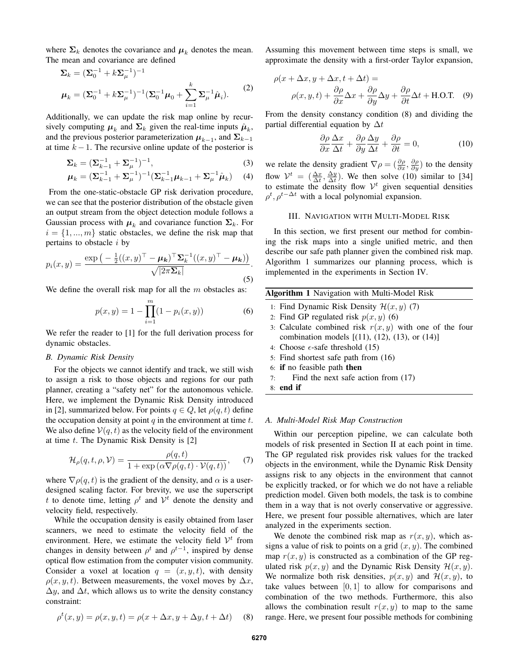where  $\Sigma_k$  denotes the covariance and  $\mu_k$  denotes the mean. The mean and covariance are defined

$$
\Sigma_k = (\Sigma_0^{-1} + k \Sigma_\mu^{-1})^{-1}
$$
  

$$
\mu_k = (\Sigma_0^{-1} + k \Sigma_\mu^{-1})^{-1} (\Sigma_0^{-1} \mu_0 + \sum_{i=1}^k \Sigma_\mu^{-1} \hat{\mu}_i).
$$
 (2)

Additionally, we can update the risk map online by recursively computing  $\mu_k$  and  $\Sigma_k$  given the real-time inputs  $\hat{\mu}_k$ , and the previous posterior parameterization  $\mu_{k-1}$ , and  $\Sigma_{k-1}$ at time  $k - 1$ . The recursive online update of the posterior is

$$
\Sigma_{k} = (\Sigma_{k-1}^{-1} + \Sigma_{\mu}^{-1})^{-1},
$$
\n
$$
\mu_{k} = (\Sigma_{k-1}^{-1} + \Sigma_{\mu}^{-1})^{-1} (\Sigma_{k-1}^{-1} \mu_{k-1} + \Sigma_{\mu}^{-1} \hat{\mu}_{k})
$$
\n(3)

From the one-static-obstacle GP risk derivation procedure, we can see that the posterior distribution of the obstacle given an output stream from the object detection module follows a Gaussian process with  $\mu_k$  and covariance function  $\Sigma_k$ . For  $i = \{1, ..., m\}$  static obstacles, we define the risk map that pertains to obstacle  $i$  by

$$
p_i(x,y) = \frac{\exp\left(-\frac{1}{2}((x,y)^\top - \mu_k)^\top \Sigma_k^{-1}((x,y)^\top - \mu_k)\right)}{\sqrt{|2\pi \Sigma_k|}}.
$$
\n(5)

We define the overall risk map for all the  $m$  obstacles as:

$$
p(x,y) = 1 - \prod_{i=1}^{m} (1 - p_i(x,y))
$$
 (6)

We refer the reader to [1] for the full derivation process for dynamic obstacles.

# *B. Dynamic Risk Density*

For the objects we cannot identify and track, we still wish to assign a risk to those objects and regions for our path planner, creating a "safety net" for the autonomous vehicle. Here, we implement the Dynamic Risk Density introduced in [2], summarized below. For points  $q \in Q$ , let  $\rho(q, t)$  define the occupation density at point  $q$  in the environment at time  $t$ . We also define  $V(q, t)$  as the velocity field of the environment at time  $t$ . The Dynamic Risk Density is [2]

$$
\mathcal{H}_{\rho}(q, t, \rho, \mathcal{V}) = \frac{\rho(q, t)}{1 + \exp\left(\alpha \nabla \rho(q, t) \cdot \mathcal{V}(q, t)\right)},\tag{7}
$$

where  $\nabla \rho(q, t)$  is the gradient of the density, and  $\alpha$  is a userdesigned scaling factor. For brevity, we use the superscript t to denote time, letting  $\rho^t$  and  $\mathcal{V}^t$  denote the density and velocity field, respectively.

While the occupation density is easily obtained from laser scanners, we need to estimate the velocity field of the environment. Here, we estimate the velocity field  $V^t$  from changes in density between  $\rho^t$  and  $\rho^{t-1}$ , inspired by dense optical flow estimation from the computer vision community. Consider a voxel at location  $q = (x, y, t)$ , with density  $\rho(x, y, t)$ . Between measurements, the voxel moves by  $\Delta x$ ,  $\Delta y$ , and  $\Delta t$ , which allows us to write the density constancy constraint:

$$
\rho^t(x, y) = \rho(x, y, t) = \rho(x + \Delta x, y + \Delta y, t + \Delta t)
$$
 (8)

Assuming this movement between time steps is small, we approximate the density with a first-order Taylor expansion,

$$
\rho(x + \Delta x, y + \Delta x, t + \Delta t) =
$$
  

$$
\rho(x, y, t) + \frac{\partial \rho}{\partial x} \Delta x + \frac{\partial \rho}{\partial y} \Delta y + \frac{\partial \rho}{\partial t} \Delta t + \text{H.O.T.}
$$
 (9)

From the density constancy condition (8) and dividing the partial differential equation by  $\Delta t$ 

$$
\frac{\partial \rho}{\partial x} \frac{\Delta x}{\Delta t} + \frac{\partial \rho}{\partial y} \frac{\Delta y}{\Delta t} + \frac{\partial \rho}{\partial t} = 0, \tag{10}
$$

we relate the density gradient  $\nabla \rho = \left(\frac{\partial \rho}{\partial x}, \frac{\partial \rho}{\partial y}\right)$  to the density flow  $\mathcal{V}^t = \left(\frac{\Delta x}{\Delta t}, \frac{\Delta y}{\Delta t}\right)$ . We then solve (10) similar to [34] to estimate the density flow  $\mathcal{V}^t$  given sequential densities  $\rho^t$ ,  $\rho^{t-\Delta t}$  with a local polynomial expansion.

# III. NAVIGATION WITH MULTI-MODEL RISK

In this section, we first present our method for combining the risk maps into a single unified metric, and then describe our safe path planner given the combined risk map. Algorithm 1 summarizes our planning process, which is implemented in the experiments in Section IV.

|  |  | <b>Algorithm 1</b> Navigation with Multi-Model Risk |  |
|--|--|-----------------------------------------------------|--|
|--|--|-----------------------------------------------------|--|

- 1: Find Dynamic Risk Density  $\mathcal{H}(x, y)$  (7)
- 2: Find GP regulated risk  $p(x, y)$  (6)
- 3: Calculate combined risk  $r(x, y)$  with one of the four combination models  $[(11), (12), (13),$  or  $(14)]$
- 4: Choose  $\epsilon$ -safe threshold (15)
- 5: Find shortest safe path from (16)
- 6: if no feasible path then
- 7: Find the next safe action from (17)
- 8: end if

# *A. Multi-Model Risk Map Construction*

Within our perception pipeline, we can calculate both models of risk presented in Section II at each point in time. The GP regulated risk provides risk values for the tracked objects in the environment, while the Dynamic Risk Density assigns risk to any objects in the environment that cannot be explicitly tracked, or for which we do not have a reliable prediction model. Given both models, the task is to combine them in a way that is not overly conservative or aggressive. Here, we present four possible alternatives, which are later analyzed in the experiments section.

We denote the combined risk map as  $r(x, y)$ , which assigns a value of risk to points on a grid  $(x, y)$ . The combined map  $r(x, y)$  is constructed as a combination of the GP regulated risk  $p(x, y)$  and the Dynamic Risk Density  $\mathcal{H}(x, y)$ . We normalize both risk densities,  $p(x, y)$  and  $\mathcal{H}(x, y)$ , to take values between  $[0, 1]$  to allow for comparisons and combination of the two methods. Furthermore, this also allows the combination result  $r(x, y)$  to map to the same range. Here, we present four possible methods for combining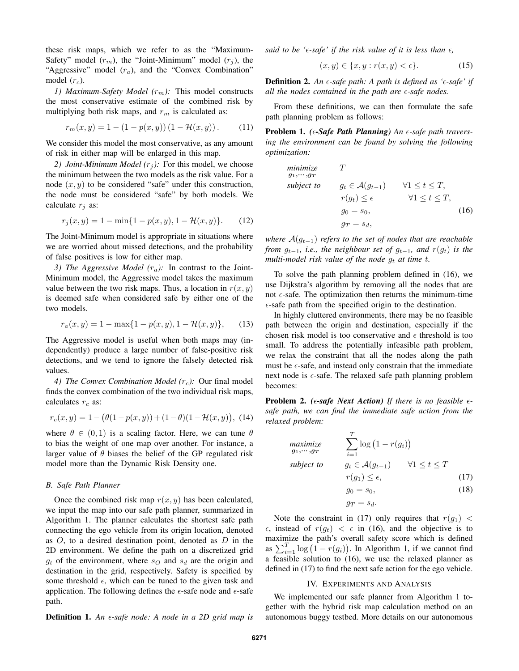these risk maps, which we refer to as the "Maximum-Safety" model  $(r_m)$ , the "Joint-Minimum" model  $(r_j)$ , the "Aggressive" model  $(r_a)$ , and the "Convex Combination" model  $(r_c)$ .

*1) Maximum-Safety Model* ( $r<sub>m</sub>$ ): This model constructs the most conservative estimate of the combined risk by multiplying both risk maps, and  $r_m$  is calculated as:

$$
r_m(x, y) = 1 - (1 - p(x, y))(1 - \mathcal{H}(x, y)).
$$
 (11)

We consider this model the most conservative, as any amount of risk in either map will be enlarged in this map.

*2) Joint-Minimum Model*  $(r_i)$ : For this model, we choose the minimum between the two models as the risk value. For a node  $(x, y)$  to be considered "safe" under this construction, the node must be considered "safe" by both models. We calculate  $r_i$  as:

$$
r_j(x, y) = 1 - \min\{1 - p(x, y), 1 - \mathcal{H}(x, y)\}.
$$
 (12)

The Joint-Minimum model is appropriate in situations where we are worried about missed detections, and the probability of false positives is low for either map.

*3) The Aggressive Model*  $(r_a)$ : In contrast to the Joint-Minimum model, the Aggressive model takes the maximum value between the two risk maps. Thus, a location in  $r(x, y)$ is deemed safe when considered safe by either one of the two models.

$$
r_a(x, y) = 1 - \max\{1 - p(x, y), 1 - \mathcal{H}(x, y)\},\qquad(13)
$$

The Aggressive model is useful when both maps may (independently) produce a large number of false-positive risk detections, and we tend to ignore the falsely detected risk values.

*4) The Convex Combination Model* ( $r_c$ ): Our final model finds the convex combination of the two individual risk maps, calculates  $r_c$  as:

$$
r_c(x,y) = 1 - (\theta(1 - p(x,y)) + (1 - \theta)(1 - \mathcal{H}(x,y)), \tag{14}
$$

where  $\theta \in (0, 1)$  is a scaling factor. Here, we can tune  $\theta$ to bias the weight of one map over another. For instance, a larger value of  $\theta$  biases the belief of the GP regulated risk model more than the Dynamic Risk Density one.

#### *B. Safe Path Planner*

Once the combined risk map  $r(x, y)$  has been calculated, we input the map into our safe path planner, summarized in Algorithm 1. The planner calculates the shortest safe path connecting the ego vehicle from its origin location, denoted as  $O$ , to a desired destination point, denoted as  $D$  in the 2D environment. We define the path on a discretized grid  $g_t$  of the environment, where  $s_O$  and  $s_d$  are the origin and destination in the grid, respectively. Safety is specified by some threshold  $\epsilon$ , which can be tuned to the given task and application. The following defines the  $\epsilon$ -safe node and  $\epsilon$ -safe path.

Definition 1. *An -safe node: A node in a 2D grid map is*

*said to be '* $\epsilon$ -*safe' if the risk value of it is less than*  $\epsilon$ *,* 

$$
(x, y) \in \{x, y : r(x, y) < \epsilon\}. \tag{15}
$$

Definition 2. *An -safe path: A path is defined as '-safe' if all the nodes contained in the path are*  $\epsilon$ *-safe nodes.* 

From these definitions, we can then formulate the safe path planning problem as follows:

**Problem 1.** (*e-Safe Path Planning*) An *e-safe path traversing the environment can be found by solving the following optimization:*

minimize  
\n
$$
g_1, \dots, g_T
$$
  
\nsubject to  
\n $g_t \in \mathcal{A}(g_{t-1})$   $\forall 1 \le t \le T,$   
\n $r(g_t) \le \epsilon$   $\forall 1 \le t \le T,$   
\n $g_0 = s_0,$  (16)  
\n $g_T = s_d,$ 

*where*  $A(g_{t-1})$  *refers to the set of nodes that are reachable from*  $g_{t-1}$ *, i.e., the neighbour set of*  $g_{t-1}$ *, and*  $r(g_t)$  *is the multi-model risk value of the node*  $q_t$  *at time t.* 

To solve the path planning problem defined in (16), we use Dijkstra's algorithm by removing all the nodes that are not  $\epsilon$ -safe. The optimization then returns the minimum-time  $\epsilon$ -safe path from the specified origin to the destination.

In highly cluttered environments, there may be no feasible path between the origin and destination, especially if the chosen risk model is too conservative and  $\epsilon$  threshold is too small. To address the potentially infeasible path problem, we relax the constraint that all the nodes along the path must be  $\epsilon$ -safe, and instead only constrain that the immediate next node is  $\epsilon$ -safe. The relaxed safe path planning problem becomes:

**Problem 2.** ( $\epsilon$ -safe Next Action) If there is no feasible  $\epsilon$ *safe path, we can find the immediate safe action from the relaxed problem:*

$$
\begin{array}{ll}\n\text{maximize} & \sum_{i=1}^{T} \log\left(1 - r(g_i)\right) \\
\text{subject to} & g_t \in \mathcal{A}(g_{t-1}) \quad \forall 1 \le t \le T \\
& r(g_1) \le \epsilon,\n\end{array} \tag{17}
$$

$$
(\mathcal{J}1) = 0,\tag{17}
$$

$$
g_0 = s_0,\tag{18}
$$

$$
g_T = s_d.
$$

Note the constraint in (17) only requires that  $r(g_1)$  <  $\epsilon$ , instead of  $r(g_t) < \epsilon$  in (16), and the objective is to maximize the path's overall safety score which is defined as  $\sum_{i=1}^{T} \log (1 - r(g_i))$ . In Algorithm 1, if we cannot find a feasible solution to (16), we use the relaxed planner as defined in (17) to find the next safe action for the ego vehicle.

#### IV. EXPERIMENTS AND ANALYSIS

We implemented our safe planner from Algorithm 1 together with the hybrid risk map calculation method on an autonomous buggy testbed. More details on our autonomous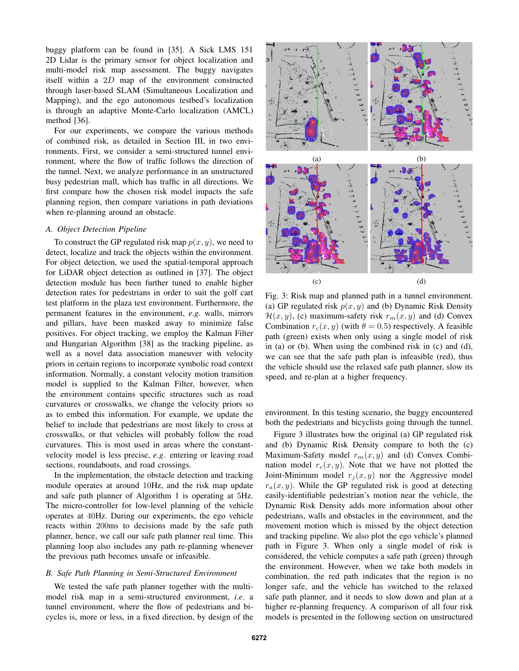buggy platform can be found in [35]. A Sick LMS 151 2D Lidar is the primary sensor for object localization and multi-model risk map assessment. The buggy navigates itself within a 2D map of the environment constructed through laser-based SLAM (Simultaneous Localization and Mapping), and the ego autonomous testbed's localization is through an adaptive Monte-Carlo localization (AMCL) method [36].

For our experiments, we compare the various methods of combined risk, as detailed in Section III, in two environments. First, we consider a semi-structured tunnel environment, where the flow of traffic follows the direction of the tunnel. Next, we analyze performance in an unstructured busy pedestrian mall, which has traffic in all directions. We first compare how the chosen risk model impacts the safe planning region, then compare variations in path deviations when re-planning around an obstacle.

# *A. Object Detection Pipeline*

To construct the GP regulated risk map  $p(x, y)$ , we need to detect, localize and track the objects within the environment. For object detection, we used the spatial-temporal approach for LiDAR object detection as outlined in [37]. The object detection module has been further tuned to enable higher detection rates for pedestrians in order to suit the golf cart test platform in the plaza test environment. Furthermore, the permanent features in the environment, *e*.*g*. walls, mirrors and pillars, have been masked away to minimize false positives. For object tracking, we employ the Kalman Filter and Hungarian Algorithm [38] as the tracking pipeline, as well as a novel data association maneuver with velocity priors in certain regions to incorporate symbolic road context information. Normally, a constant velocity motion transition model is supplied to the Kalman Filter, however, when the environment contains specific structures such as road curvatures or crosswalks, we change the velocity priors so as to embed this information. For example, we update the belief to include that pedestrians are most likely to cross at crosswalks, or that vehicles will probably follow the road curvatures. This is most used in areas where the constantvelocity model is less precise, *e*.*g*. entering or leaving road sections, roundabouts, and road crossings.

In the implementation, the obstacle detection and tracking module operates at around 10Hz, and the risk map update and safe path planner of Algorithm 1 is operating at 5Hz. The micro-controller for low-level planning of the vehicle operates at 40Hz. During our experiments, the ego vehicle reacts within 200ms to decisions made by the safe path planner, hence, we call our safe path planner real time. This planning loop also includes any path re-planning whenever the previous path becomes unsafe or infeasible.

# *B. Safe Path Planning in Semi-Structured Environment*

We tested the safe path planner together with the multimodel risk map in a semi-structured environment, *i*.*e*. a tunnel environment, where the flow of pedestrians and bicycles is, more or less, in a fixed direction, by design of the



Fig. 3: Risk map and planned path in a tunnel environment. (a) GP regulated risk  $p(x, y)$  and (b) Dynamic Risk Density  $\mathcal{H}(x, y)$ , (c) maximum-safety risk  $r_m(x, y)$  and (d) Convex Combination  $r_c(x, y)$  (with  $\theta = 0.5$ ) respectively. A feasible path (green) exists when only using a single model of risk in (a) or (b). When using the combined risk in (c) and (d), we can see that the safe path plan is infeasible (red), thus the vehicle should use the relaxed safe path planner, slow its speed, and re-plan at a higher frequency.

environment. In this testing scenario, the buggy encountered both the pedestrians and bicyclists going through the tunnel.

Figure 3 illustrates how the original (a) GP regulated risk and (b) Dynamic Risk Density compare to both the (c) Maximum-Safety model  $r_m(x, y)$  and (d) Convex Combination model  $r_c(x, y)$ . Note that we have not plotted the Joint-Minimum model  $r_j(x, y)$  nor the Aggressive model  $r_a(x, y)$ . While the GP regulated risk is good at detecting easily-identifiable pedestrian's motion near the vehicle, the Dynamic Risk Density adds more information about other pedestrians, walls and obstacles in the environment, and the movement motion which is missed by the object detection and tracking pipeline. We also plot the ego vehicle's planned path in Figure 3. When only a single model of risk is considered, the vehicle computes a safe path (green) through the environment. However, when we take both models in combination, the red path indicates that the region is no longer safe, and the vehicle has switched to the relaxed safe path planner, and it needs to slow down and plan at a higher re-planning frequency. A comparison of all four risk models is presented in the following section on unstructured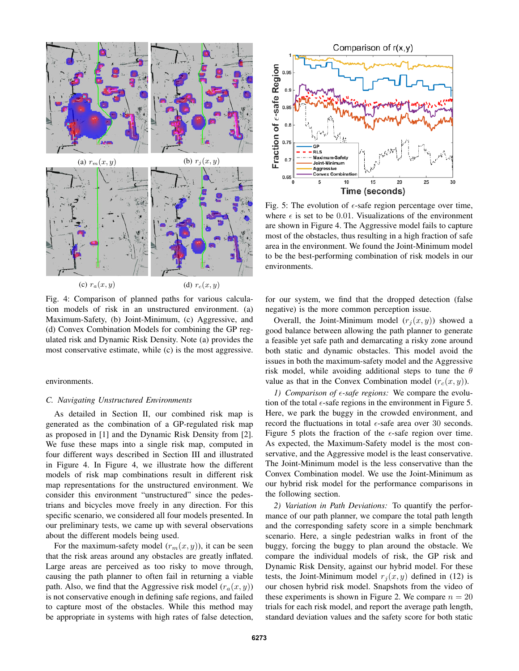

Fig. 4: Comparison of planned paths for various calculation models of risk in an unstructured environment. (a) Maximum-Safety, (b) Joint-Minimum, (c) Aggressive, and (d) Convex Combination Models for combining the GP regulated risk and Dynamic Risk Density. Note (a) provides the most conservative estimate, while (c) is the most aggressive.

# environments.

# *C. Navigating Unstructured Environments*

As detailed in Section II, our combined risk map is generated as the combination of a GP-regulated risk map as proposed in [1] and the Dynamic Risk Density from [2]. We fuse these maps into a single risk map, computed in four different ways described in Section III and illustrated in Figure 4. In Figure 4, we illustrate how the different models of risk map combinations result in different risk map representations for the unstructured environment. We consider this environment "unstructured" since the pedestrians and bicycles move freely in any direction. For this specific scenario, we considered all four models presented. In our preliminary tests, we came up with several observations about the different models being used.

For the maximum-safety model  $(r_m(x, y))$ , it can be seen that the risk areas around any obstacles are greatly inflated. Large areas are perceived as too risky to move through, causing the path planner to often fail in returning a viable path. Also, we find that the Aggressive risk model  $(r_a(x, y))$ is not conservative enough in defining safe regions, and failed to capture most of the obstacles. While this method may be appropriate in systems with high rates of false detection,



Fig. 5: The evolution of  $\epsilon$ -safe region percentage over time, where  $\epsilon$  is set to be 0.01. Visualizations of the environment are shown in Figure 4. The Aggressive model fails to capture most of the obstacles, thus resulting in a high fraction of safe area in the environment. We found the Joint-Minimum model to be the best-performing combination of risk models in our environments.

for our system, we find that the dropped detection (false negative) is the more common perception issue.

Overall, the Joint-Minimum model  $(r_i(x, y))$  showed a good balance between allowing the path planner to generate a feasible yet safe path and demarcating a risky zone around both static and dynamic obstacles. This model avoid the issues in both the maximum-safety model and the Aggressive risk model, while avoiding additional steps to tune the  $\theta$ value as that in the Convex Combination model  $(r_c(x, y))$ .

*1) Comparison of -safe regions:* We compare the evolution of the total  $\epsilon$ -safe regions in the environment in Figure 5. Here, we park the buggy in the crowded environment, and record the fluctuations in total  $\epsilon$ -safe area over 30 seconds. Figure 5 plots the fraction of the  $\epsilon$ -safe region over time. As expected, the Maximum-Safety model is the most conservative, and the Aggressive model is the least conservative. The Joint-Minimum model is the less conservative than the Convex Combination model. We use the Joint-Minimum as our hybrid risk model for the performance comparisons in the following section.

*2) Variation in Path Deviations:* To quantify the performance of our path planner, we compare the total path length and the corresponding safety score in a simple benchmark scenario. Here, a single pedestrian walks in front of the buggy, forcing the buggy to plan around the obstacle. We compare the individual models of risk, the GP risk and Dynamic Risk Density, against our hybrid model. For these tests, the Joint-Minimum model  $r_j(x, y)$  defined in (12) is our chosen hybrid risk model. Snapshots from the video of these experiments is shown in Figure 2. We compare  $n = 20$ trials for each risk model, and report the average path length, standard deviation values and the safety score for both static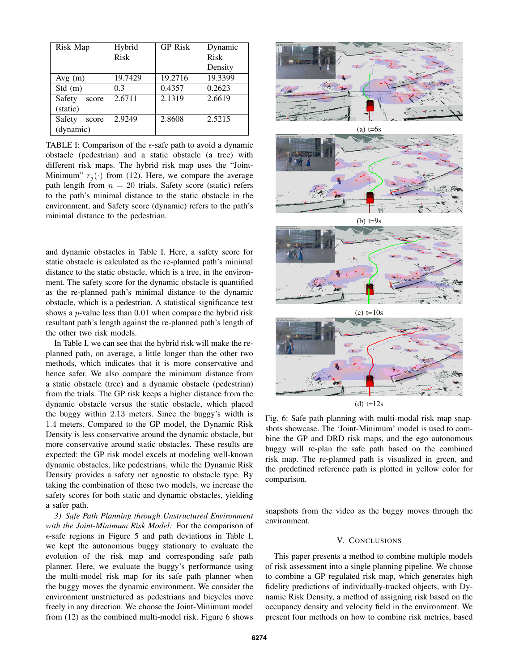| Risk Map        | Hybrid      | <b>GP</b> Risk | Dynamic |
|-----------------|-------------|----------------|---------|
|                 | <b>Risk</b> |                | Risk    |
|                 |             |                | Density |
| Avg(m)          | 19.7429     | 19.2716        | 19.3399 |
| Std(m)          | 0.3         | 0.4357         | 0.2623  |
| Safety<br>score | 2.6711      | 2.1319         | 2.6619  |
| (static)        |             |                |         |
| Safety<br>score | 2.9249      | 2.8608         | 2.5215  |
| (dynamic)       |             |                |         |

TABLE I: Comparison of the  $\epsilon$ -safe path to avoid a dynamic obstacle (pedestrian) and a static obstacle (a tree) with different risk maps. The hybrid risk map uses the "Joint-Minimum"  $r_i(\cdot)$  from (12). Here, we compare the average path length from  $n = 20$  trials. Safety score (static) refers to the path's minimal distance to the static obstacle in the environment, and Safety score (dynamic) refers to the path's minimal distance to the pedestrian.

and dynamic obstacles in Table I. Here, a safety score for static obstacle is calculated as the re-planned path's minimal distance to the static obstacle, which is a tree, in the environment. The safety score for the dynamic obstacle is quantified as the re-planned path's minimal distance to the dynamic obstacle, which is a pedestrian. A statistical significance test shows a *p*-value less than 0.01 when compare the hybrid risk resultant path's length against the re-planned path's length of the other two risk models.

In Table I, we can see that the hybrid risk will make the replanned path, on average, a little longer than the other two methods, which indicates that it is more conservative and hence safer. We also compare the minimum distance from a static obstacle (tree) and a dynamic obstacle (pedestrian) from the trials. The GP risk keeps a higher distance from the dynamic obstacle versus the static obstacle, which placed the buggy within 2.13 meters. Since the buggy's width is 1.4 meters. Compared to the GP model, the Dynamic Risk Density is less conservative around the dynamic obstacle, but more conservative around static obstacles. These results are expected: the GP risk model excels at modeling well-known dynamic obstacles, like pedestrians, while the Dynamic Risk Density provides a safety net agnostic to obstacle type. By taking the combination of these two models, we increase the safety scores for both static and dynamic obstacles, yielding a safer path.

*3) Safe Path Planning through Unstructured Environment with the Joint-Minimum Risk Model:* For the comparison of  $\epsilon$ -safe regions in Figure 5 and path deviations in Table I, we kept the autonomous buggy stationary to evaluate the evolution of the risk map and corresponding safe path planner. Here, we evaluate the buggy's performance using the multi-model risk map for its safe path planner when the buggy moves the dynamic environment. We consider the environment unstructured as pedestrians and bicycles move freely in any direction. We choose the Joint-Minimum model from (12) as the combined multi-model risk. Figure 6 shows



(d)  $t=12s$ 

Fig. 6: Safe path planning with multi-modal risk map snapshots showcase. The 'Joint-Minimum' model is used to combine the GP and DRD risk maps, and the ego autonomous buggy will re-plan the safe path based on the combined risk map. The re-planned path is visualized in green, and the predefined reference path is plotted in yellow color for comparison.

snapshots from the video as the buggy moves through the environment.

# V. CONCLUSIONS

This paper presents a method to combine multiple models of risk assessment into a single planning pipeline. We choose to combine a GP regulated risk map, which generates high fidelity predictions of individually-tracked objects, with Dynamic Risk Density, a method of assigning risk based on the occupancy density and velocity field in the environment. We present four methods on how to combine risk metrics, based